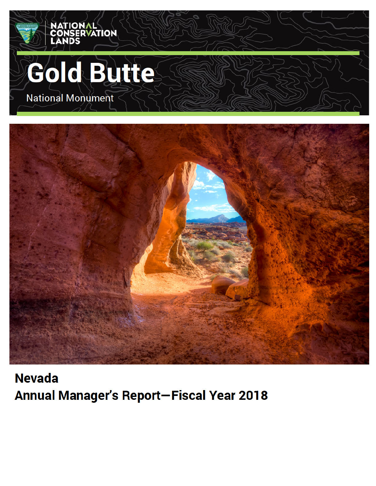

**Nevada Annual Manager's Report-Fiscal Year 2018**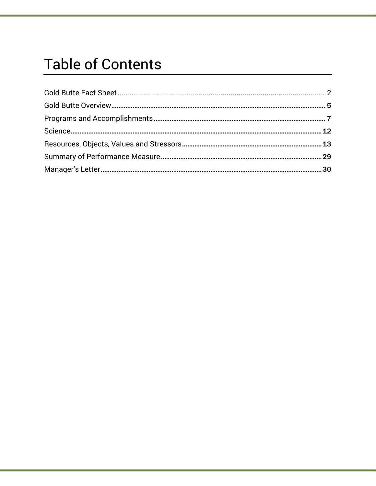### **Table of Contents**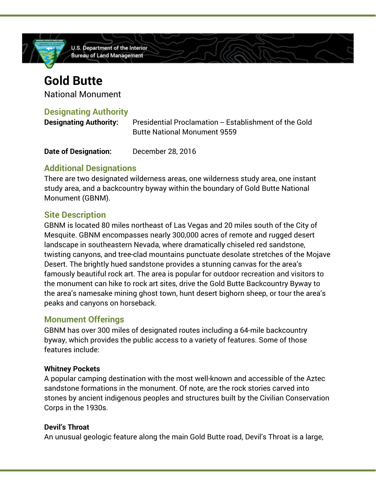

### **Gold Butte**

National Monument

#### **Designating Authority**

| <b>Designating Authority:</b> | Presidential Proclamation -- Establishment of the Gold |
|-------------------------------|--------------------------------------------------------|
|                               | <b>Butte National Monument 9559</b>                    |

| December 28, 2016<br><b>Date of Designation:</b> |
|--------------------------------------------------|
|--------------------------------------------------|

#### **Additional Designations**

There are two designated wilderness areas, one wilderness study area, one instant study area, and a backcountry byway within the boundary of Gold Butte National Monument (GBNM).

#### **Site Description**

GBNM is located 80 miles northeast of Las Vegas and 20 miles south of the City of Mesquite. GBNM encompasses nearly 300,000 acres of remote and rugged desert landscape in southeastern Nevada, where dramatically chiseled red sandstone, twisting canyons, and tree-clad mountains punctuate desolate stretches of the Mojave Desert. The brightly hued sandstone provides a stunning canvas for the area's famously beautiful rock art. The area is popular for outdoor recreation and visitors to the monument can hike to rock art sites, drive the Gold Butte Backcountry Byway to the area's namesake mining ghost town, hunt desert bighorn sheep, or tour the area's peaks and canyons on horseback.

#### **Monument Offerings**

GBNM has over 300 miles of designated routes including a 64-mile backcountry byway, which provides the public access to a variety of features. Some of those features include:

#### **Whitney Pockets**

A popular camping destination with the most well-known and accessible of the Aztec sandstone formations in the monument. Of note, are the rock stories carved into stones by ancient indigenous peoples and structures built by the Civilian Conservation Corps in the 1930s.

#### **Devil's Throat**

An unusual geologic feature along the main Gold Butte road, Devil's Throat is a large,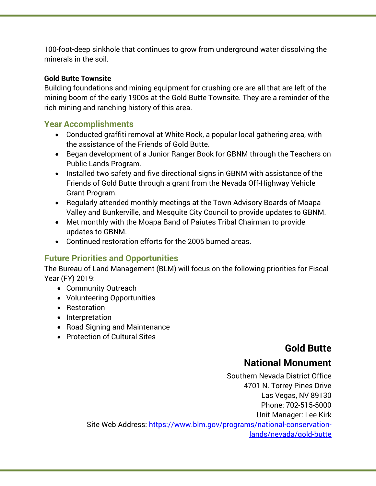100-foot-deep sinkhole that continues to grow from underground water dissolving the minerals in the soil.

#### **Gold Butte Townsite**

Building foundations and mining equipment for crushing ore are all that are left of the mining boom of the early 1900s at the Gold Butte Townsite. They are a reminder of the rich mining and ranching history of this area.

#### **Year Accomplishments**

- Conducted graffiti removal at White Rock, a popular local gathering area, with the assistance of the Friends of Gold Butte.
- Began development of a Junior Ranger Book for GBNM through the Teachers on Public Lands Program.
- Installed two safety and five directional signs in GBNM with assistance of the Friends of Gold Butte through a grant from the Nevada Off-Highway Vehicle Grant Program.
- Regularly attended monthly meetings at the Town Advisory Boards of Moapa Valley and Bunkerville, and Mesquite City Council to provide updates to GBNM.
- Met monthly with the Moapa Band of Paiutes Tribal Chairman to provide updates to GBNM.
- Continued restoration efforts for the 2005 burned areas.

#### **Future Priorities and Opportunities**

The Bureau of Land Management (BLM) will focus on the following priorities for Fiscal Year (FY) 2019:

- Community Outreach
- Volunteering Opportunities
- Restoration
- Interpretation
- Road Signing and Maintenance
- Protection of Cultural Sites

#### **Gold Butte**

#### **National Monument**

Southern Nevada District Office 4701 N. Torrey Pines Drive Las Vegas, NV 89130 Phone: 702-515-5000 Unit Manager: Lee Kirk Site Web Address: https://www.blm.gov/programs/national-conservationlands/nevada/gold-butte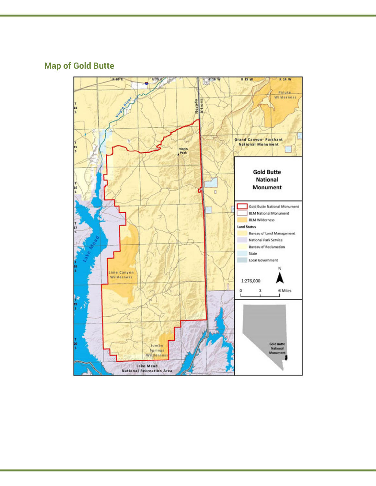#### **Map of Gold Butte**

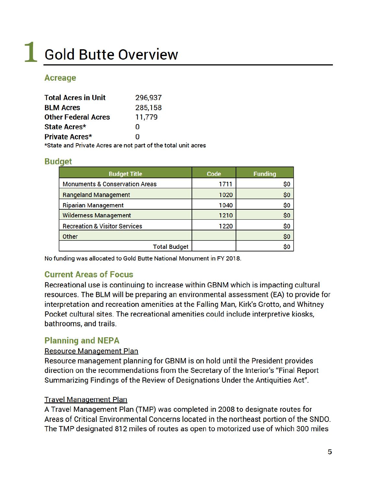# **L** Gold Butte Overview

#### **Acreage**

| <b>Total Acres in Unit</b>                                                                               | 296,937 |
|----------------------------------------------------------------------------------------------------------|---------|
| <b>BLM Acres</b>                                                                                         | 285,158 |
| <b>Other Federal Acres</b>                                                                               | 11,779  |
| State Acres*                                                                                             | n       |
| <b>Private Acres*</b>                                                                                    | n       |
| $\pm 0.1$ . In the set of $\pm 0.1$ , the set of $\pm 0.1$ , the set of $\pm 1.1$ , the set of $\pm 1.1$ |         |

\*State and Private Acres are not part of the total unit acres

#### **Budget**

| <b>Budget Title</b>                       | Code | <b>Funding</b> |
|-------------------------------------------|------|----------------|
| <b>Monuments &amp; Conservation Areas</b> | 1711 | \$0            |
| <b>Rangeland Management</b>               | 1020 | \$0            |
| <b>Riparian Management</b>                | 1040 | \$0            |
| <b>Wilderness Management</b>              | 1210 | \$0            |
| <b>Recreation &amp; Visitor Services</b>  | 1220 | \$0            |
| Other                                     |      | \$0            |
| <b>Total Budget</b>                       |      | \$0            |

No funding was allocated to Gold Butte National Monument in FY 2018.

#### **Current Areas of Focus**

Recreational use is continuing to increase within GBNM which is impacting cultural resources. The BLM will be preparing an environmental assessment (EA) to provide for interpretation and recreation amenities at the Falling Man, Kirk's Grotto, and Whitney Pocket cultural sites. The recreational amenities could include interpretive kiosks, bathrooms, and trails.

#### **Planning and NEPA**

#### **Resource Management Plan**

Resource management planning for GBNM is on hold until the President provides direction on the recommendations from the Secretary of the Interior's "Final Report Summarizing Findings of the Review of Designations Under the Antiquities Act".

#### **Travel Management Plan**

A Travel Management Plan (TMP) was completed in 2008 to designate routes for Areas of Critical Environmental Concerns located in the northeast portion of the SNDO. The TMP designated 812 miles of routes as open to motorized use of which 300 miles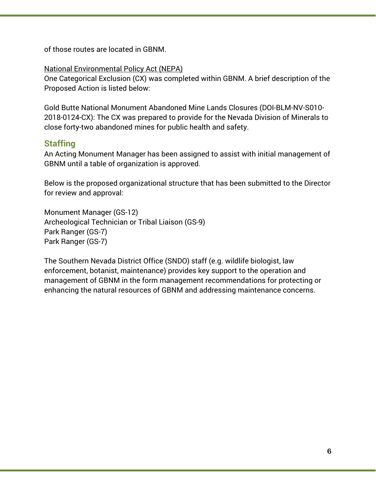of those routes are located in GBNM.

National Environmental Policy Act (NEPA)

One Categorical Exclusion (CX) was completed within GBNM. A brief description of the Proposed Action is listed below:

Gold Butte National Monument Abandoned Mine Lands Closures (DOI-BLM-NV-S010- 2018-0124-CX): The CX was prepared to provide for the Nevada Division of Minerals to close forty-two abandoned mines for public health and safety.

#### **Staffing**

An Acting Monument Manager has been assigned to assist with initial management of GBNM until a table of organization is approved.

Below is the proposed organizational structure that has been submitted to the Director for review and approval:

Monument Manager (GS-12) Archeological Technician or Tribal Liaison (GS-9) Park Ranger (GS-7) Park Ranger (GS-7)

The Southern Nevada District Office (SNDO) staff (e.g. wildlife biologist, law enforcement, botanist, maintenance) provides key support to the operation and management of GBNM in the form management recommendations for protecting or enhancing the natural resources of GBNM and addressing maintenance concerns.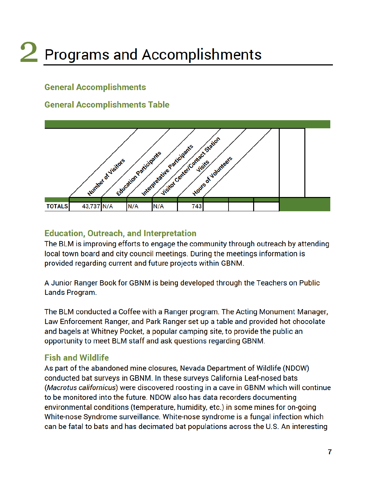# 2 Programs and Accomplishments

#### **General Accomplishments**

#### **General Accomplishments Table**



#### **Education, Outreach, and Interpretation**

The BLM is improving efforts to engage the community through outreach by attending local town board and city council meetings. During the meetings information is provided regarding current and future projects within GBNM.

A Junior Ranger Book for GBNM is being developed through the Teachers on Public Lands Program.

The BLM conducted a Coffee with a Ranger program. The Acting Monument Manager, Law Enforcement Ranger, and Park Ranger set up a table and provided hot chocolate and bagels at Whitney Pocket, a popular camping site, to provide the public an opportunity to meet BLM staff and ask questions regarding GBNM.

#### **Fish and Wildlife**

As part of the abandoned mine closures, Nevada Department of Wildlife (NDOW) conducted bat surveys in GBNM. In these surveys California Leaf-nosed bats (Macrotus californicus) were discovered roosting in a cave in GBNM which will continue to be monitored into the future. NDOW also has data recorders documenting environmental conditions (temperature, humidity, etc.) in some mines for on-going White-nose Syndrome surveillance. White-nose syndrome is a fungal infection which can be fatal to bats and has decimated bat populations across the U.S. An interesting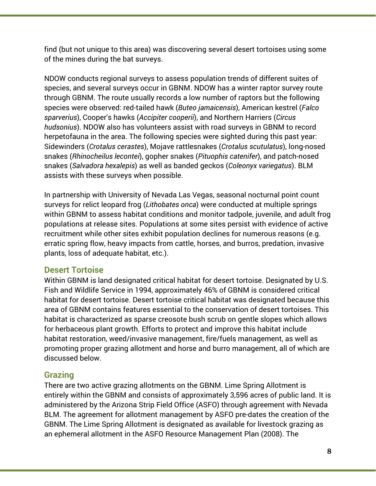find (but not unique to this area) was discovering several desert tortoises using some of the mines during the bat surveys.

NDOW conducts regional surveys to assess population trends of different suites of species, and several surveys occur in GBNM. NDOW has a winter raptor survey route through GBNM. The route usually records a low number of raptors but the following species were observed: red-tailed hawk (*Buteo jamaicensis*), American kestrel (*Falco sparverius*), Cooper's hawks (*Accipiter cooperii*), and Northern Harriers (*Circus hudsonius*). NDOW also has volunteers assist with road surveys in GBNM to record herpetofauna in the area. The following species were sighted during this past year: Sidewinders (*Crotalus cerastes*), Mojave rattlesnakes (*Crotalus scutulatus*), long-nosed snakes (*Rhinocheilus lecontei*), gopher snakes (*Pituophis catenifer*), and patch-nosed snakes (*Salvadora hexalepis*) as well as banded geckos (*Coleonyx variegatus*). BLM assists with these surveys when possible.

In partnership with University of Nevada Las Vegas, seasonal nocturnal point count surveys for relict leopard frog (*Lithobates onca*) were conducted at multiple springs within GBNM to assess habitat conditions and monitor tadpole, juvenile, and adult frog populations at release sites. Populations at some sites persist with evidence of active recruitment while other sites exhibit population declines for numerous reasons (e.g. erratic spring flow, heavy impacts from cattle, horses, and burros, predation, invasive plants, loss of adequate habitat, etc.).

#### **Desert Tortoise**

Within GBNM is land designated critical habitat for desert tortoise. Designated by U.S. Fish and Wildlife Service in 1994, approximately 46% of GBNM is considered critical habitat for desert tortoise. Desert tortoise critical habitat was designated because this area of GBNM contains features essential to the conservation of desert tortoises. This habitat is characterized as sparse creosote bush scrub on gentle slopes which allows for herbaceous plant growth. Efforts to protect and improve this habitat include habitat restoration, weed/invasive management, fire/fuels management, as well as promoting proper grazing allotment and horse and burro management, all of which are discussed below.

#### **Grazing**

There are two active grazing allotments on the GBNM. Lime Spring Allotment is entirely within the GBNM and consists of approximately 3,596 acres of public land. It is administered by the Arizona Strip Field Office (ASFO) through agreement with Nevada BLM. The agreement for allotment management by ASFO pre-dates the creation of the GBNM. The Lime Spring Allotment is designated as available for livestock grazing as an ephemeral allotment in the ASFO Resource Management Plan (2008). The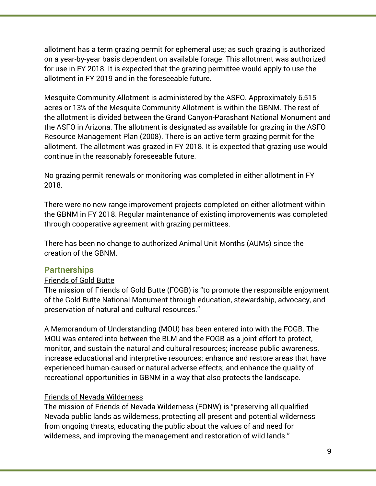allotment has a term grazing permit for ephemeral use; as such grazing is authorized on a year-by-year basis dependent on available forage. This allotment was authorized for use in FY 2018. It is expected that the grazing permittee would apply to use the allotment in FY 2019 and in the foreseeable future.

Mesquite Community Allotment is administered by the ASFO. Approximately 6,515 acres or 13% of the Mesquite Community Allotment is within the GBNM. The rest of the allotment is divided between the Grand Canyon-Parashant National Monument and the ASFO in Arizona. The allotment is designated as available for grazing in the ASFO Resource Management Plan (2008). There is an active term grazing permit for the allotment. The allotment was grazed in FY 2018. It is expected that grazing use would continue in the reasonably foreseeable future.

No grazing permit renewals or monitoring was completed in either allotment in FY 2018.

There were no new range improvement projects completed on either allotment within the GBNM in FY 2018. Regular maintenance of existing improvements was completed through cooperative agreement with grazing permittees.

There has been no change to authorized Animal Unit Months (AUMs) since the creation of the GBNM.

#### **Partnerships**

#### Friends of Gold Butte

The mission of Friends of Gold Butte (FOGB) is "to promote the responsible enjoyment of the Gold Butte National Monument through education, stewardship, advocacy, and preservation of natural and cultural resources."

A Memorandum of Understanding (MOU) has been entered into with the FOGB. The MOU was entered into between the BLM and the FOGB as a joint effort to protect, monitor, and sustain the natural and cultural resources; increase public awareness, increase educational and interpretive resources; enhance and restore areas that have experienced human-caused or natural adverse effects; and enhance the quality of recreational opportunities in GBNM in a way that also protects the landscape.

#### Friends of Nevada Wilderness

The mission of Friends of Nevada Wilderness (FONW) is "preserving all qualified Nevada public lands as wilderness, protecting all present and potential wilderness from ongoing threats, educating the public about the values of and need for wilderness, and improving the management and restoration of wild lands."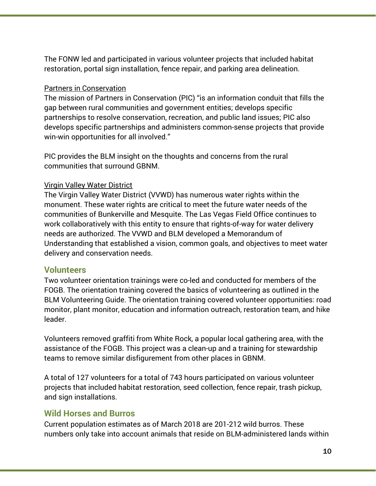The FONW led and participated in various volunteer projects that included habitat restoration, portal sign installation, fence repair, and parking area delineation.

#### Partners in Conservation

The mission of Partners in Conservation (PIC) "is an information conduit that fills the gap between rural communities and government entities; develops specific partnerships to resolve conservation, recreation, and public land issues; PIC also develops specific partnerships and administers common-sense projects that provide win-win opportunities for all involved."

PIC provides the BLM insight on the thoughts and concerns from the rural communities that surround GBNM.

#### Virgin Valley Water District

The Virgin Valley Water District (VVWD) has numerous water rights within the monument. These water rights are critical to meet the future water needs of the communities of Bunkerville and Mesquite. The Las Vegas Field Office continues to work collaboratively with this entity to ensure that rights-of-way for water delivery needs are authorized. The VVWD and BLM developed a Memorandum of Understanding that established a vision, common goals, and objectives to meet water delivery and conservation needs.

#### **Volunteers**

Two volunteer orientation trainings were co-led and conducted for members of the FOGB. The orientation training covered the basics of volunteering as outlined in the BLM Volunteering Guide. The orientation training covered volunteer opportunities: road monitor, plant monitor, education and information outreach, restoration team, and hike leader.

Volunteers removed graffiti from White Rock, a popular local gathering area, with the assistance of the FOGB. This project was a clean-up and a training for stewardship teams to remove similar disfigurement from other places in GBNM.

A total of 127 volunteers for a total of 743 hours participated on various volunteer projects that included habitat restoration, seed collection, fence repair, trash pickup, and sign installations.

#### **Wild Horses and Burros**

Current population estimates as of March 2018 are 201-212 wild burros. These numbers only take into account animals that reside on BLM-administered lands within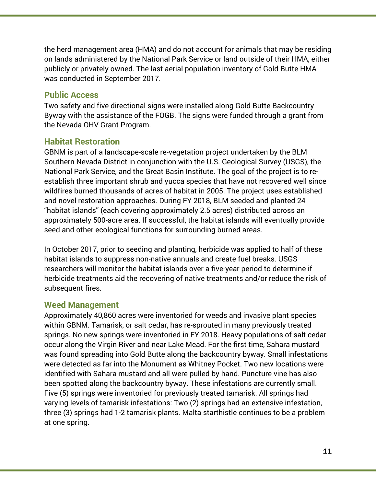the herd management area (HMA) and do not account for animals that may be residing on lands administered by the National Park Service or land outside of their HMA, either publicly or privately owned. The last aerial population inventory of Gold Butte HMA was conducted in September 2017.

#### **Public Access**

Two safety and five directional signs were installed along Gold Butte Backcountry Byway with the assistance of the FOGB. The signs were funded through a grant from the Nevada OHV Grant Program.

#### **Habitat Restoration**

GBNM is part of a landscape-scale re-vegetation project undertaken by the BLM Southern Nevada District in conjunction with the U.S. Geological Survey (USGS), the National Park Service, and the Great Basin Institute. The goal of the project is to reestablish three important shrub and yucca species that have not recovered well since wildfires burned thousands of acres of habitat in 2005. The project uses established and novel restoration approaches. During FY 2018, BLM seeded and planted 24 "habitat islands" (each covering approximately 2.5 acres) distributed across an approximately 500-acre area. If successful, the habitat islands will eventually provide seed and other ecological functions for surrounding burned areas.

In October 2017, prior to seeding and planting, herbicide was applied to half of these habitat islands to suppress non-native annuals and create fuel breaks. USGS researchers will monitor the habitat islands over a five-year period to determine if herbicide treatments aid the recovering of native treatments and/or reduce the risk of subsequent fires.

#### **Weed Management**

Approximately 40,860 acres were inventoried for weeds and invasive plant species within GBNM. Tamarisk, or salt cedar, has re-sprouted in many previously treated springs. No new springs were inventoried in FY 2018. Heavy populations of salt cedar occur along the Virgin River and near Lake Mead. For the first time, Sahara mustard was found spreading into Gold Butte along the backcountry byway. Small infestations were detected as far into the Monument as Whitney Pocket. Two new locations were identified with Sahara mustard and all were pulled by hand. Puncture vine has also been spotted along the backcountry byway. These infestations are currently small. Five (5) springs were inventoried for previously treated tamarisk. All springs had varying levels of tamarisk infestations: Two (2) springs had an extensive infestation, three (3) springs had 1-2 tamarisk plants. Malta starthistle continues to be a problem at one spring.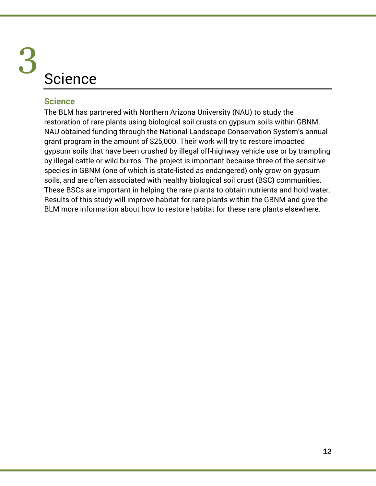# **Science** 3

#### **Science**

The BLM has partnered with Northern Arizona University (NAU) to study the restoration of rare plants using biological soil crusts on gypsum soils within GBNM. NAU obtained funding through the National Landscape Conservation System's annual grant program in the amount of \$25,000. Their work will try to restore impacted gypsum soils that have been crushed by illegal off-highway vehicle use or by trampling by illegal cattle or wild burros. The project is important because three of the sensitive species in GBNM (one of which is state-listed as endangered) only grow on gypsum soils, and are often associated with healthy biological soil crust (BSC) communities. These BSCs are important in helping the rare plants to obtain nutrients and hold water. Results of this study will improve habitat for rare plants within the GBNM and give the BLM more information about how to restore habitat for these rare plants elsewhere.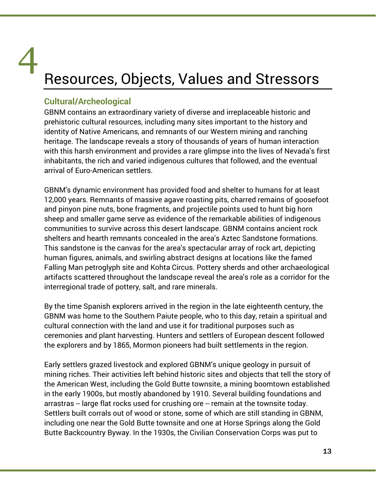# Resources, Objects, Values and Stressors 4

#### **Cultural/Archeological**

GBNM contains an extraordinary variety of diverse and irreplaceable historic and prehistoric cultural resources, including many sites important to the history and identity of Native Americans, and remnants of our Western mining and ranching heritage. The landscape reveals a story of thousands of years of human interaction with this harsh environment and provides a rare glimpse into the lives of Nevada's first inhabitants, the rich and varied indigenous cultures that followed, and the eventual arrival of Euro-American settlers.

GBNM's dynamic environment has provided food and shelter to humans for at least 12,000 years. Remnants of massive agave roasting pits, charred remains of goosefoot and pinyon pine nuts, bone fragments, and projectile points used to hunt big horn sheep and smaller game serve as evidence of the remarkable abilities of indigenous communities to survive across this desert landscape. GBNM contains ancient rock shelters and hearth remnants concealed in the area's Aztec Sandstone formations. This sandstone is the canvas for the area's spectacular array of rock art, depicting human figures, animals, and swirling abstract designs at locations like the famed Falling Man petroglyph site and Kohta Circus. Pottery sherds and other archaeological artifacts scattered throughout the landscape reveal the area's role as a corridor for the interregional trade of pottery, salt, and rare minerals.

By the time Spanish explorers arrived in the region in the late eighteenth century, the GBNM was home to the Southern Paiute people, who to this day, retain a spiritual and cultural connection with the land and use it for traditional purposes such as ceremonies and plant harvesting. Hunters and settlers of European descent followed the explorers and by 1865, Mormon pioneers had built settlements in the region.

Early settlers grazed livestock and explored GBNM's unique geology in pursuit of mining riches. Their activities left behind historic sites and objects that tell the story of the American West, including the Gold Butte townsite, a mining boomtown established in the early 1900s, but mostly abandoned by 1910. Several building foundations and arrastras -- large flat rocks used for crushing ore -- remain at the townsite today. Settlers built corrals out of wood or stone, some of which are still standing in GBNM, including one near the Gold Butte townsite and one at Horse Springs along the Gold Butte Backcountry Byway. In the 1930s, the Civilian Conservation Corps was put to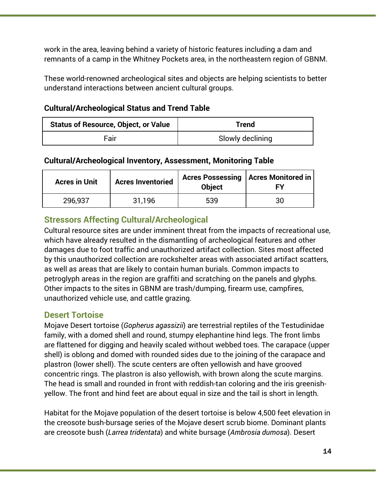work in the area, leaving behind a variety of historic features including a dam and remnants of a camp in the Whitney Pockets area, in the northeastern region of GBNM.

These world-renowned archeological sites and objects are helping scientists to better understand interactions between ancient cultural groups.

#### **Cultural/Archeological Status and Trend Table**

| <b>Status of Resource, Object, or Value</b> | <b>Frend</b>     |
|---------------------------------------------|------------------|
| Fair                                        | Slowly declining |

#### **Cultural/Archeological Inventory, Assessment, Monitoring Table**

| <b>Acres in Unit</b> | <b>Acres Inventoried</b> | <b>Object</b> | Acres Possessing   Acres Monitored in<br>Fν |
|----------------------|--------------------------|---------------|---------------------------------------------|
| 296,937              | 31,196                   | 539           | 30                                          |

#### **Stressors Affecting Cultural/Archeological**

Cultural resource sites are under imminent threat from the impacts of recreational use, which have already resulted in the dismantling of archeological features and other damages due to foot traffic and unauthorized artifact collection. Sites most affected by this unauthorized collection are rockshelter areas with associated artifact scatters, as well as areas that are likely to contain human burials. Common impacts to petroglyph areas in the region are graffiti and scratching on the panels and glyphs. Other impacts to the sites in GBNM are trash/dumping, firearm use, campfires, unauthorized vehicle use, and cattle grazing.

#### **Desert Tortoise**

Mojave Desert tortoise (*Gopherus agassizii*) are terrestrial reptiles of the Testudinidae family, with a domed shell and round, stumpy elephantine hind legs. The front limbs are flattened for digging and heavily scaled without webbed toes. The carapace (upper shell) is oblong and domed with rounded sides due to the joining of the carapace and plastron (lower shell). The scute centers are often yellowish and have grooved concentric rings. The plastron is also yellowish, with brown along the scute margins. The head is small and rounded in front with reddish-tan coloring and the iris greenishyellow. The front and hind feet are about equal in size and the tail is short in length.

Habitat for the Mojave population of the desert tortoise is below 4,500 feet elevation in the creosote bush-bursage series of the Mojave desert scrub biome. Dominant plants are creosote bush (*Larrea tridentata*) and white bursage (*Ambrosia dumosa*). Desert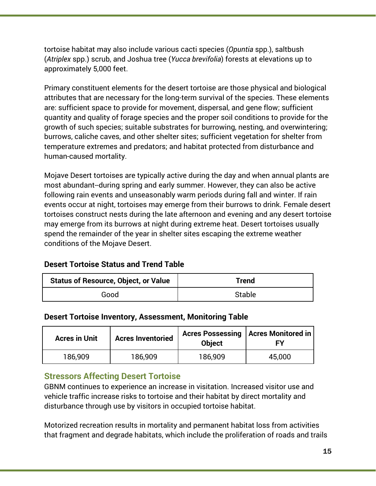tortoise habitat may also include various cacti species (*Opuntia* spp.), saltbush (*Atriplex* spp.) scrub, and Joshua tree (*Yucca brevifolia*) forests at elevations up to approximately 5,000 feet.

Primary constituent elements for the desert tortoise are those physical and biological attributes that are necessary for the long-term survival of the species. These elements are: sufficient space to provide for movement, dispersal, and gene flow; sufficient quantity and quality of forage species and the proper soil conditions to provide for the growth of such species; suitable substrates for burrowing, nesting, and overwintering; burrows, caliche caves, and other shelter sites; sufficient vegetation for shelter from temperature extremes and predators; and habitat protected from disturbance and human-caused mortality.

Mojave Desert tortoises are typically active during the day and when annual plants are most abundant--during spring and early summer. However, they can also be active following rain events and unseasonably warm periods during fall and winter. If rain events occur at night, tortoises may emerge from their burrows to drink. Female desert tortoises construct nests during the late afternoon and evening and any desert tortoise may emerge from its burrows at night during extreme heat. Desert tortoises usually spend the remainder of the year in shelter sites escaping the extreme weather conditions of the Mojave Desert.

#### **Desert Tortoise Status and Trend Table**

| <b>Status of Resource, Object, or Value</b> | Trend         |
|---------------------------------------------|---------------|
| Good                                        | <b>Stable</b> |

#### **Desert Tortoise Inventory, Assessment, Monitoring Table**

| <b>Acres in Unit</b> | <b>Acres Inventoried</b> | <b>Object</b> | Acres Possessing   Acres Monitored in |
|----------------------|--------------------------|---------------|---------------------------------------|
| 186,909              | 186,909                  | 186,909       | 45,000                                |

#### **Stressors Affecting Desert Tortoise**

GBNM continues to experience an increase in visitation. Increased visitor use and vehicle traffic increase risks to tortoise and their habitat by direct mortality and disturbance through use by visitors in occupied tortoise habitat.

Motorized recreation results in mortality and permanent habitat loss from activities that fragment and degrade habitats, which include the proliferation of roads and trails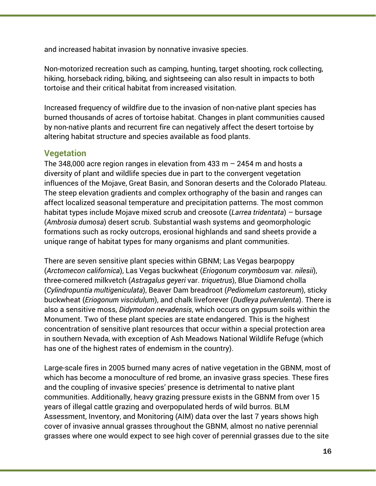and increased habitat invasion by nonnative invasive species.

Non-motorized recreation such as camping, hunting, target shooting, rock collecting, hiking, horseback riding, biking, and sightseeing can also result in impacts to both tortoise and their critical habitat from increased visitation.

Increased frequency of wildfire due to the invasion of non-native plant species has burned thousands of acres of tortoise habitat. Changes in plant communities caused by non-native plants and recurrent fire can negatively affect the desert tortoise by altering habitat structure and species available as food plants.

#### **Vegetation**

The 348,000 acre region ranges in elevation from 433 m  $-$  2454 m and hosts a diversity of plant and wildlife species due in part to the convergent vegetation influences of the Mojave, Great Basin, and Sonoran deserts and the Colorado Plateau. The steep elevation gradients and complex orthography of the basin and ranges can affect localized seasonal temperature and precipitation patterns. The most common habitat types include Mojave mixed scrub and creosote (*Larrea tridentata*) – bursage (*Ambrosia dumosa*) desert scrub. Substantial wash systems and geomorphologic formations such as rocky outcrops, erosional highlands and sand sheets provide a unique range of habitat types for many organisms and plant communities.

There are seven sensitive plant species within GBNM; Las Vegas bearpoppy (*Arctomecon californica*), Las Vegas buckwheat (*Eriogonum corymbosum* var*. nilesii*), three-cornered milkvetch (*Astragalus geyeri* var. *triquetrus*), Blue Diamond cholla (*Cylindropuntia multigeniculata*), Beaver Dam breadroot (*Pediomelum castoreum*), sticky buckwheat (*Eriogonum viscidulum*), and chalk liveforever (*Dudleya pulverulenta*). There is also a sensitive moss, *Didymodon nevadensis*, which occurs on gypsum soils within the Monument. Two of these plant species are state endangered. This is the highest concentration of sensitive plant resources that occur within a special protection area in southern Nevada, with exception of Ash Meadows National Wildlife Refuge (which has one of the highest rates of endemism in the country).

Large-scale fires in 2005 burned many acres of native vegetation in the GBNM, most of which has become a monoculture of red brome, an invasive grass species. These fires and the coupling of invasive species' presence is detrimental to native plant communities. Additionally, heavy grazing pressure exists in the GBNM from over 15 years of illegal cattle grazing and overpopulated herds of wild burros. BLM Assessment, Inventory, and Monitoring (AIM) data over the last 7 years shows high cover of invasive annual grasses throughout the GBNM, almost no native perennial grasses where one would expect to see high cover of perennial grasses due to the site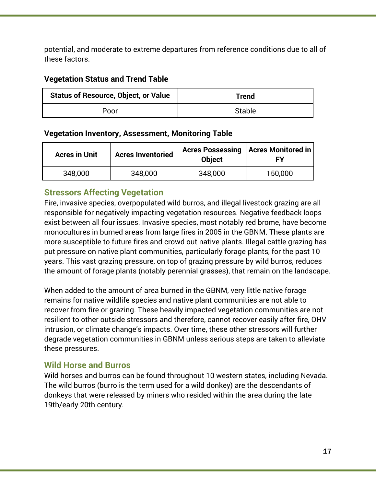potential, and moderate to extreme departures from reference conditions due to all of these factors.

#### **Vegetation Status and Trend Table**

| <b>Status of Resource, Object, or Value</b> | Trend         |
|---------------------------------------------|---------------|
| Poor                                        | <b>Stable</b> |

#### **Vegetation Inventory, Assessment, Monitoring Table**

| <b>Acres in Unit</b> | <b>Acres Inventoried</b> | <b>Object</b> | Acres Possessing   Acres Monitored in  <br>FΥ |
|----------------------|--------------------------|---------------|-----------------------------------------------|
| 348,000              | 348,000                  | 348,000       | 150,000                                       |

#### **Stressors Affecting Vegetation**

Fire, invasive species, overpopulated wild burros, and illegal livestock grazing are all responsible for negatively impacting vegetation resources. Negative feedback loops exist between all four issues. Invasive species, most notably red brome, have become monocultures in burned areas from large fires in 2005 in the GBNM. These plants are more susceptible to future fires and crowd out native plants. Illegal cattle grazing has put pressure on native plant communities, particularly forage plants, for the past 10 years. This vast grazing pressure, on top of grazing pressure by wild burros, reduces the amount of forage plants (notably perennial grasses), that remain on the landscape.

When added to the amount of area burned in the GBNM, very little native forage remains for native wildlife species and native plant communities are not able to recover from fire or grazing. These heavily impacted vegetation communities are not resilient to other outside stressors and therefore, cannot recover easily after fire, OHV intrusion, or climate change's impacts. Over time, these other stressors will further degrade vegetation communities in GBNM unless serious steps are taken to alleviate these pressures.

#### **Wild Horse and Burros**

Wild horses and burros can be found throughout 10 western states, including Nevada. The wild burros (burro is the term used for a wild donkey) are the descendants of donkeys that were released by miners who resided within the area during the late 19th/early 20th century.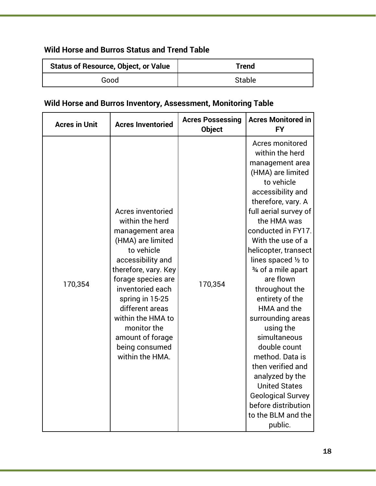#### **Wild Horse and Burros Status and Trend Table**

| <b>Status of Resource, Object, or Value</b> | Trend  |
|---------------------------------------------|--------|
| Good                                        | Stable |

#### **Wild Horse and Burros Inventory, Assessment, Monitoring Table**

| <b>Acres in Unit</b> | <b>Acres Inventoried</b>                                                                                                                                                                                                                                                                                             | <b>Acres Possessing</b><br><b>Object</b> | <b>Acres Monitored in</b><br><b>FY</b>                                                                                                                                                                                                                                                                                                                                                                                                                                                                                                                                                                 |
|----------------------|----------------------------------------------------------------------------------------------------------------------------------------------------------------------------------------------------------------------------------------------------------------------------------------------------------------------|------------------------------------------|--------------------------------------------------------------------------------------------------------------------------------------------------------------------------------------------------------------------------------------------------------------------------------------------------------------------------------------------------------------------------------------------------------------------------------------------------------------------------------------------------------------------------------------------------------------------------------------------------------|
| 170,354              | Acres inventoried<br>within the herd<br>management area<br>(HMA) are limited<br>to vehicle<br>accessibility and<br>therefore, vary. Key<br>forage species are<br>inventoried each<br>spring in 15-25<br>different areas<br>within the HMA to<br>monitor the<br>amount of forage<br>being consumed<br>within the HMA. | 170,354                                  | Acres monitored<br>within the herd<br>management area<br>(HMA) are limited<br>to vehicle<br>accessibility and<br>therefore, vary. A<br>full aerial survey of<br>the HMA was<br>conducted in FY17.<br>With the use of a<br>helicopter, transect<br>lines spaced 1/2 to<br>3⁄4 of a mile apart<br>are flown<br>throughout the<br>entirety of the<br>HMA and the<br>surrounding areas<br>using the<br>simultaneous<br>double count<br>method. Data is<br>then verified and<br>analyzed by the<br><b>United States</b><br><b>Geological Survey</b><br>before distribution<br>to the BLM and the<br>public. |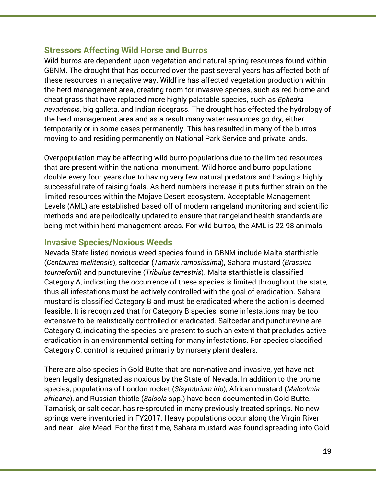#### **Stressors Affecting Wild Horse and Burros**

Wild burros are dependent upon vegetation and natural spring resources found within GBNM. The drought that has occurred over the past several years has affected both of these resources in a negative way. Wildfire has affected vegetation production within the herd management area, creating room for invasive species, such as red brome and cheat grass that have replaced more highly palatable species, such as *Ephedra nevadensis*, big galleta, and Indian ricegrass. The drought has effected the hydrology of the herd management area and as a result many water resources go dry, either temporarily or in some cases permanently. This has resulted in many of the burros moving to and residing permanently on National Park Service and private lands.

Overpopulation may be affecting wild burro populations due to the limited resources that are present within the national monument. Wild horse and burro populations double every four years due to having very few natural predators and having a highly successful rate of raising foals. As herd numbers increase it puts further strain on the limited resources within the Mojave Desert ecosystem. Acceptable Management Levels (AML) are established based off of modern rangeland monitoring and scientific methods and are periodically updated to ensure that rangeland health standards are being met within herd management areas. For wild burros, the AML is 22-98 animals.

#### **Invasive Species/Noxious Weeds**

Nevada State listed noxious weed species found in GBNM include Malta starthistle (*Centaurea melitensis*), saltcedar (*Tamarix ramosissima*), Sahara mustard (*Brassica tournefortii*) and puncturevine (*Tribulus terrestris*). Malta starthistle is classified Category A, indicating the occurrence of these species is limited throughout the state, thus all infestations must be actively controlled with the goal of eradication. Sahara mustard is classified Category B and must be eradicated where the action is deemed feasible. It is recognized that for Category B species, some infestations may be too extensive to be realistically controlled or eradicated. Saltcedar and puncturevine are Category C, indicating the species are present to such an extent that precludes active eradication in an environmental setting for many infestations. For species classified Category C, control is required primarily by nursery plant dealers.

There are also species in Gold Butte that are non-native and invasive, yet have not been legally designated as noxious by the State of Nevada. In addition to the brome species, populations of London rocket (*Sisymbrium irio*), African mustard (*Malcolmia africana*), and Russian thistle (*Salsola* spp.) have been documented in Gold Butte. Tamarisk, or salt cedar, has re-sprouted in many previously treated springs. No new springs were inventoried in FY2017. Heavy populations occur along the Virgin River and near Lake Mead. For the first time, Sahara mustard was found spreading into Gold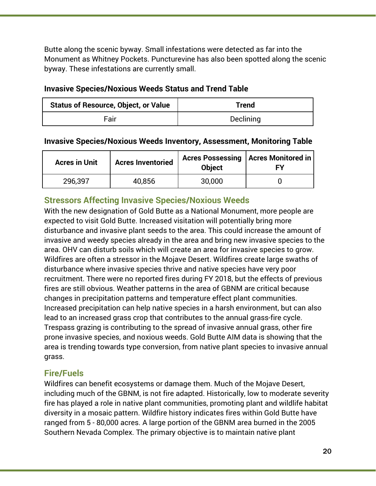Butte along the scenic byway. Small infestations were detected as far into the Monument as Whitney Pockets. Puncturevine has also been spotted along the scenic byway. These infestations are currently small.

#### **Invasive Species/Noxious Weeds Status and Trend Table**

| <b>Status of Resource, Object, or Value</b> | Trend            |  |
|---------------------------------------------|------------------|--|
| Fair                                        | <b>Declining</b> |  |

#### **Invasive Species/Noxious Weeds Inventory, Assessment, Monitoring Table**

| <b>Acres in Unit</b> | <b>Acres Inventoried</b> | <b>Acres Possessing</b><br><b>Object</b> | <b>Acres Monitored in</b><br>FΥ |
|----------------------|--------------------------|------------------------------------------|---------------------------------|
| 296,397              | 40,856                   | 30,000                                   |                                 |

#### **Stressors Affecting Invasive Species/Noxious Weeds**

With the new designation of Gold Butte as a National Monument, more people are expected to visit Gold Butte. Increased visitation will potentially bring more disturbance and invasive plant seeds to the area. This could increase the amount of invasive and weedy species already in the area and bring new invasive species to the area. OHV can disturb soils which will create an area for invasive species to grow. Wildfires are often a stressor in the Mojave Desert. Wildfires create large swaths of disturbance where invasive species thrive and native species have very poor recruitment. There were no reported fires during FY 2018, but the effects of previous fires are still obvious. Weather patterns in the area of GBNM are critical because changes in precipitation patterns and temperature effect plant communities. Increased precipitation can help native species in a harsh environment, but can also lead to an increased grass crop that contributes to the annual grass-fire cycle. Trespass grazing is contributing to the spread of invasive annual grass, other fire prone invasive species, and noxious weeds. Gold Butte AIM data is showing that the area is trending towards type conversion, from native plant species to invasive annual grass.

#### **Fire/Fuels**

Wildfires can benefit ecosystems or damage them. Much of the Mojave Desert, including much of the GBNM, is not fire adapted. Historically, low to moderate severity fire has played a role in native plant communities, promoting plant and wildlife habitat diversity in a mosaic pattern. Wildfire history indicates fires within Gold Butte have ranged from 5 - 80,000 acres. A large portion of the GBNM area burned in the 2005 Southern Nevada Complex. The primary objective is to maintain native plant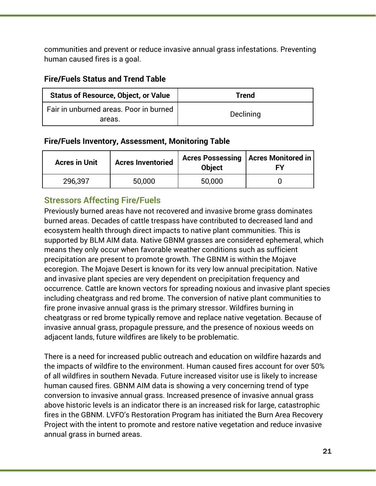communities and prevent or reduce invasive annual grass infestations. Preventing human caused fires is a goal.

#### **Fire/Fuels Status and Trend Table**

| <b>Status of Resource, Object, or Value</b>      | Trend     |  |
|--------------------------------------------------|-----------|--|
| Fair in unburned areas. Poor in burned<br>areas. | Declining |  |

#### **Fire/Fuels Inventory, Assessment, Monitoring Table**

| <b>Acres in Unit</b> | <b>Acres Inventoried</b> | <b>Object</b> | Acres Possessing   Acres Monitored in |
|----------------------|--------------------------|---------------|---------------------------------------|
| 296,397              | 50,000                   | 50,000        |                                       |

#### **Stressors Affecting Fire/Fuels**

Previously burned areas have not recovered and invasive brome grass dominates burned areas. Decades of cattle trespass have contributed to decreased land and ecosystem health through direct impacts to native plant communities. This is supported by BLM AIM data. Native GBNM grasses are considered ephemeral, which means they only occur when favorable weather conditions such as sufficient precipitation are present to promote growth. The GBNM is within the Mojave ecoregion. The Mojave Desert is known for its very low annual precipitation. Native and invasive plant species are very dependent on precipitation frequency and occurrence. Cattle are known vectors for spreading noxious and invasive plant species including cheatgrass and red brome. The conversion of native plant communities to fire prone invasive annual grass is the primary stressor. Wildfires burning in cheatgrass or red brome typically remove and replace native vegetation. Because of invasive annual grass, propagule pressure, and the presence of noxious weeds on adjacent lands, future wildfires are likely to be problematic.

There is a need for increased public outreach and education on wildfire hazards and the impacts of wildfire to the environment. Human caused fires account for over 50% of all wildfires in southern Nevada. Future increased visitor use is likely to increase human caused fires. GBNM AIM data is showing a very concerning trend of type conversion to invasive annual grass. Increased presence of invasive annual grass above historic levels is an indicator there is an increased risk for large, catastrophic fires in the GBNM. LVFO's Restoration Program has initiated the Burn Area Recovery Project with the intent to promote and restore native vegetation and reduce invasive annual grass in burned areas.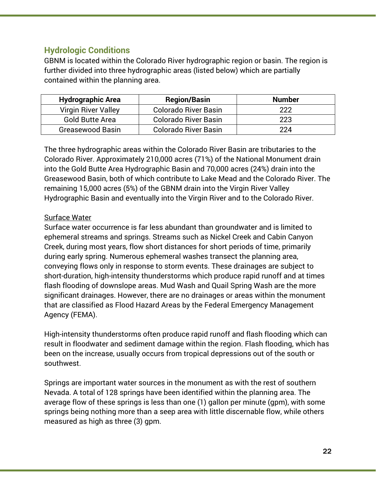#### **Hydrologic Conditions**

GBNM is located within the Colorado River hydrographic region or basin. The region is further divided into three hydrographic areas (listed below) which are partially contained within the planning area.

| <b>Hydrographic Area</b>   | <b>Region/Basin</b>         | <b>Number</b> |
|----------------------------|-----------------------------|---------------|
| <b>Virgin River Valley</b> | <b>Colorado River Basin</b> | 222           |
| <b>Gold Butte Area</b>     | <b>Colorado River Basin</b> | 223           |
| Greasewood Basin           | <b>Colorado River Basin</b> | 224           |

The three hydrographic areas within the Colorado River Basin are tributaries to the Colorado River. Approximately 210,000 acres (71%) of the National Monument drain into the Gold Butte Area Hydrographic Basin and 70,000 acres (24%) drain into the Greasewood Basin, both of which contribute to Lake Mead and the Colorado River. The remaining 15,000 acres (5%) of the GBNM drain into the Virgin River Valley Hydrographic Basin and eventually into the Virgin River and to the Colorado River.

#### Surface Water

Surface water occurrence is far less abundant than groundwater and is limited to ephemeral streams and springs. Streams such as Nickel Creek and Cabin Canyon Creek, during most years, flow short distances for short periods of time, primarily during early spring. Numerous ephemeral washes transect the planning area, conveying flows only in response to storm events. These drainages are subject to short-duration, high-intensity thunderstorms which produce rapid runoff and at times flash flooding of downslope areas. Mud Wash and Quail Spring Wash are the more significant drainages. However, there are no drainages or areas within the monument that are classified as Flood Hazard Areas by the Federal Emergency Management Agency (FEMA).

High-intensity thunderstorms often produce rapid runoff and flash flooding which can result in floodwater and sediment damage within the region. Flash flooding, which has been on the increase, usually occurs from tropical depressions out of the south or southwest.

Springs are important water sources in the monument as with the rest of southern Nevada. A total of 128 springs have been identified within the planning area. The average flow of these springs is less than one (1) gallon per minute (gpm), with some springs being nothing more than a seep area with little discernable flow, while others measured as high as three (3) gpm.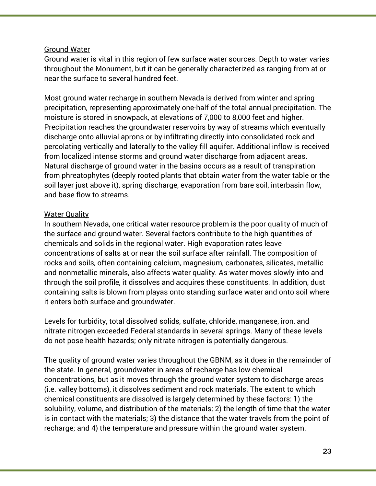#### Ground Water

Ground water is vital in this region of few surface water sources. Depth to water varies throughout the Monument, but it can be generally characterized as ranging from at or near the surface to several hundred feet.

Most ground water recharge in southern Nevada is derived from winter and spring precipitation, representing approximately one-half of the total annual precipitation. The moisture is stored in snowpack, at elevations of 7,000 to 8,000 feet and higher. Precipitation reaches the groundwater reservoirs by way of streams which eventually discharge onto alluvial aprons or by infiltrating directly into consolidated rock and percolating vertically and laterally to the valley fill aquifer. Additional inflow is received from localized intense storms and ground water discharge from adjacent areas. Natural discharge of ground water in the basins occurs as a result of transpiration from phreatophytes (deeply rooted plants that obtain water from the water table or the soil layer just above it), spring discharge, evaporation from bare soil, interbasin flow, and base flow to streams.

#### Water Quality

In southern Nevada, one critical water resource problem is the poor quality of much of the surface and ground water. Several factors contribute to the high quantities of chemicals and solids in the regional water. High evaporation rates leave concentrations of salts at or near the soil surface after rainfall. The composition of rocks and soils, often containing calcium, magnesium, carbonates, silicates, metallic and nonmetallic minerals, also affects water quality. As water moves slowly into and through the soil profile, it dissolves and acquires these constituents. In addition, dust containing salts is blown from playas onto standing surface water and onto soil where it enters both surface and groundwater.

Levels for turbidity, total dissolved solids, sulfate, chloride, manganese, iron, and nitrate nitrogen exceeded Federal standards in several springs. Many of these levels do not pose health hazards; only nitrate nitrogen is potentially dangerous.

The quality of ground water varies throughout the GBNM, as it does in the remainder of the state. In general, groundwater in areas of recharge has low chemical concentrations, but as it moves through the ground water system to discharge areas (i.e. valley bottoms), it dissolves sediment and rock materials. The extent to which chemical constituents are dissolved is largely determined by these factors: 1) the solubility, volume, and distribution of the materials; 2) the length of time that the water is in contact with the materials; 3) the distance that the water travels from the point of recharge; and 4) the temperature and pressure within the ground water system.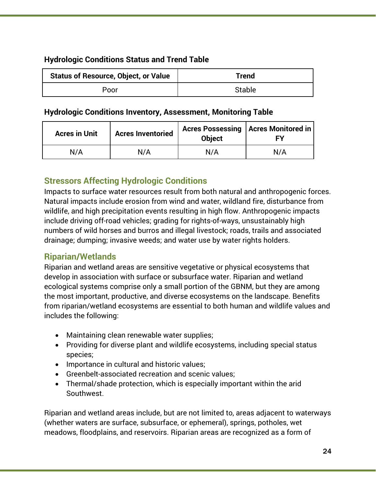#### **Hydrologic Conditions Status and Trend Table**

| <b>Status of Resource, Object, or Value</b> | Trend         |  |
|---------------------------------------------|---------------|--|
| Poor                                        | <b>Stable</b> |  |

#### **Hydrologic Conditions Inventory, Assessment, Monitoring Table**

| <b>Acres in Unit</b> | <b>Acres Inventoried</b> | <b>Object</b> | Acres Possessing   Acres Monitored in |
|----------------------|--------------------------|---------------|---------------------------------------|
| N/A                  | N/A                      | N/A           | N/A                                   |

#### **Stressors Affecting Hydrologic Conditions**

Impacts to surface water resources result from both natural and anthropogenic forces. Natural impacts include erosion from wind and water, wildland fire, disturbance from wildlife, and high precipitation events resulting in high flow. Anthropogenic impacts include driving off-road vehicles; grading for rights-of-ways, unsustainably high numbers of wild horses and burros and illegal livestock; roads, trails and associated drainage; dumping; invasive weeds; and water use by water rights holders.

#### **Riparian/Wetlands**

Riparian and wetland areas are sensitive vegetative or physical ecosystems that develop in association with surface or subsurface water. Riparian and wetland ecological systems comprise only a small portion of the GBNM, but they are among the most important, productive, and diverse ecosystems on the landscape. Benefits from riparian/wetland ecosystems are essential to both human and wildlife values and includes the following:

- Maintaining clean renewable water supplies;
- Providing for diverse plant and wildlife ecosystems, including special status species;
- Importance in cultural and historic values;
- Greenbelt-associated recreation and scenic values;
- Thermal/shade protection, which is especially important within the arid Southwest.

Riparian and wetland areas include, but are not limited to, areas adjacent to waterways (whether waters are surface, subsurface, or ephemeral), springs, potholes, wet meadows, floodplains, and reservoirs. Riparian areas are recognized as a form of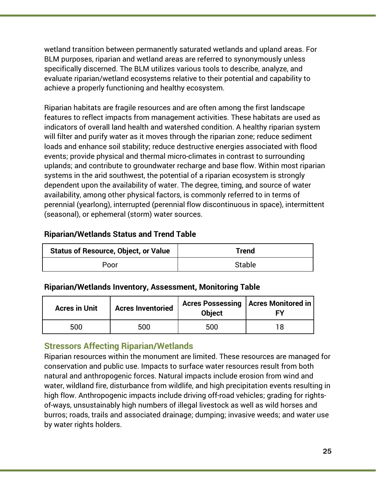wetland transition between permanently saturated wetlands and upland areas. For BLM purposes, riparian and wetland areas are referred to synonymously unless specifically discerned. The BLM utilizes various tools to describe, analyze, and evaluate riparian/wetland ecosystems relative to their potential and capability to achieve a properly functioning and healthy ecosystem.

Riparian habitats are fragile resources and are often among the first landscape features to reflect impacts from management activities. These habitats are used as indicators of overall land health and watershed condition. A healthy riparian system will filter and purify water as it moves through the riparian zone; reduce sediment loads and enhance soil stability; reduce destructive energies associated with flood events; provide physical and thermal micro-climates in contrast to surrounding uplands; and contribute to groundwater recharge and base flow. Within most riparian systems in the arid southwest, the potential of a riparian ecosystem is strongly dependent upon the availability of water. The degree, timing, and source of water availability, among other physical factors, is commonly referred to in terms of perennial (yearlong), interrupted (perennial flow discontinuous in space), intermittent (seasonal), or ephemeral (storm) water sources.

#### **Riparian/Wetlands Status and Trend Table**

| <b>Status of Resource, Object, or Value</b> | Trend         |
|---------------------------------------------|---------------|
| Poor                                        | <b>Stable</b> |

#### **Riparian/Wetlands Inventory, Assessment, Monitoring Table**

| <b>Acres in Unit</b> | <b>Acres Inventoried</b> | <b>Object</b> | Acres Possessing   Acres Monitored in |
|----------------------|--------------------------|---------------|---------------------------------------|
| 500                  | 500                      | 500           |                                       |

#### **Stressors Affecting Riparian/Wetlands**

Riparian resources within the monument are limited. These resources are managed for conservation and public use. Impacts to surface water resources result from both natural and anthropogenic forces. Natural impacts include erosion from wind and water, wildland fire, disturbance from wildlife, and high precipitation events resulting in high flow. Anthropogenic impacts include driving off-road vehicles; grading for rightsof-ways, unsustainably high numbers of illegal livestock as well as wild horses and burros; roads, trails and associated drainage; dumping; invasive weeds; and water use by water rights holders.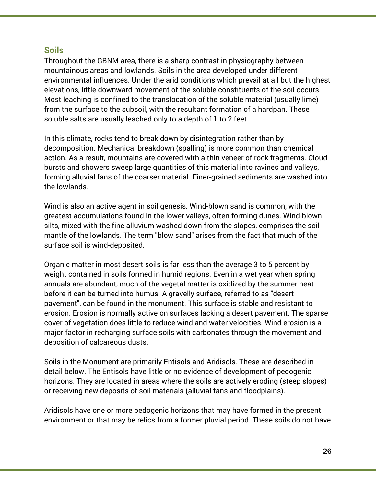#### **Soils**

Throughout the GBNM area, there is a sharp contrast in physiography between mountainous areas and lowlands. Soils in the area developed under different environmental influences. Under the arid conditions which prevail at all but the highest elevations, little downward movement of the soluble constituents of the soil occurs. Most leaching is confined to the translocation of the soluble material (usually lime) from the surface to the subsoil, with the resultant formation of a hardpan. These soluble salts are usually leached only to a depth of 1 to 2 feet.

In this climate, rocks tend to break down by disintegration rather than by decomposition. Mechanical breakdown (spalling) is more common than chemical action. As a result, mountains are covered with a thin veneer of rock fragments. Cloud bursts and showers sweep large quantities of this material into ravines and valleys, forming alluvial fans of the coarser material. Finer-grained sediments are washed into the lowlands.

Wind is also an active agent in soil genesis. Wind-blown sand is common, with the greatest accumulations found in the lower valleys, often forming dunes. Wind-blown silts, mixed with the fine alluvium washed down from the slopes, comprises the soil mantle of the lowlands. The term "blow sand" arises from the fact that much of the surface soil is wind-deposited.

Organic matter in most desert soils is far less than the average 3 to 5 percent by weight contained in soils formed in humid regions. Even in a wet year when spring annuals are abundant, much of the vegetal matter is oxidized by the summer heat before it can be turned into humus. A gravelly surface, referred to as "desert pavement", can be found in the monument. This surface is stable and resistant to erosion. Erosion is normally active on surfaces lacking a desert pavement. The sparse cover of vegetation does little to reduce wind and water velocities. Wind erosion is a major factor in recharging surface soils with carbonates through the movement and deposition of calcareous dusts.

Soils in the Monument are primarily Entisols and Aridisols. These are described in detail below. The Entisols have little or no evidence of development of pedogenic horizons. They are located in areas where the soils are actively eroding (steep slopes) or receiving new deposits of soil materials (alluvial fans and floodplains).

Aridisols have one or more pedogenic horizons that may have formed in the present environment or that may be relics from a former pluvial period. These soils do not have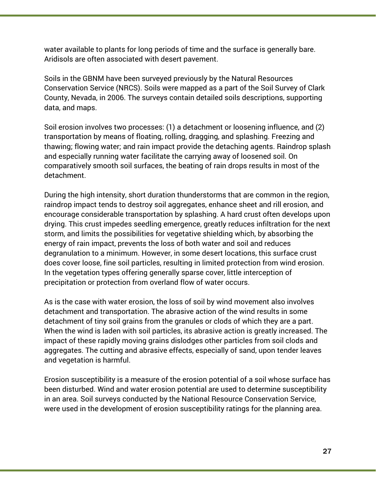water available to plants for long periods of time and the surface is generally bare. Aridisols are often associated with desert pavement.

Soils in the GBNM have been surveyed previously by the Natural Resources Conservation Service (NRCS). Soils were mapped as a part of the Soil Survey of Clark County, Nevada, in 2006. The surveys contain detailed soils descriptions, supporting data, and maps.

Soil erosion involves two processes: (1) a detachment or loosening influence, and (2) transportation by means of floating, rolling, dragging, and splashing. Freezing and thawing; flowing water; and rain impact provide the detaching agents. Raindrop splash and especially running water facilitate the carrying away of loosened soil. On comparatively smooth soil surfaces, the beating of rain drops results in most of the detachment.

During the high intensity, short duration thunderstorms that are common in the region, raindrop impact tends to destroy soil aggregates, enhance sheet and rill erosion, and encourage considerable transportation by splashing. A hard crust often develops upon drying. This crust impedes seedling emergence, greatly reduces infiltration for the next storm, and limits the possibilities for vegetative shielding which, by absorbing the energy of rain impact, prevents the loss of both water and soil and reduces degranulation to a minimum. However, in some desert locations, this surface crust does cover loose, fine soil particles, resulting in limited protection from wind erosion. In the vegetation types offering generally sparse cover, little interception of precipitation or protection from overland flow of water occurs.

As is the case with water erosion, the loss of soil by wind movement also involves detachment and transportation. The abrasive action of the wind results in some detachment of tiny soil grains from the granules or clods of which they are a part. When the wind is laden with soil particles, its abrasive action is greatly increased. The impact of these rapidly moving grains dislodges other particles from soil clods and aggregates. The cutting and abrasive effects, especially of sand, upon tender leaves and vegetation is harmful.

Erosion susceptibility is a measure of the erosion potential of a soil whose surface has been disturbed. Wind and water erosion potential are used to determine susceptibility in an area. Soil surveys conducted by the National Resource Conservation Service, were used in the development of erosion susceptibility ratings for the planning area.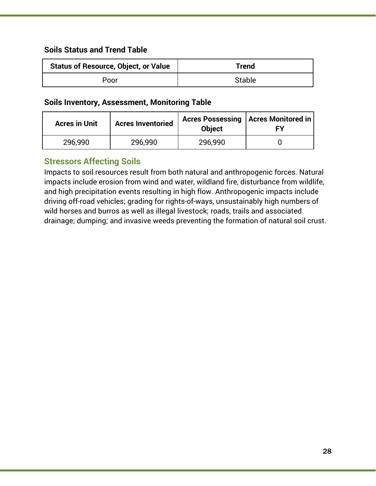#### **Soils Status and Trend Table**

| <b>Status of Resource, Object, or Value</b> | Trend         |  |
|---------------------------------------------|---------------|--|
| Poor                                        | <b>Stable</b> |  |

#### **Soils Inventory, Assessment, Monitoring Table**

| <b>Acres in Unit</b> | <b>Acres Inventoried</b> | <b>Object</b> | Acres Possessing   Acres Monitored in<br>Fν |
|----------------------|--------------------------|---------------|---------------------------------------------|
| 296,990              | 296,990                  | 296,990       |                                             |

#### **Stressors Affecting Soils**

Impacts to soil resources result from both natural and anthropogenic forces. Natural impacts include erosion from wind and water, wildland fire, disturbance from wildlife, and high precipitation events resulting in high flow. Anthropogenic impacts include driving off-road vehicles; grading for rights-of-ways, unsustainably high numbers of wild horses and burros as well as illegal livestock; roads, trails and associated drainage; dumping; and invasive weeds preventing the formation of natural soil crust.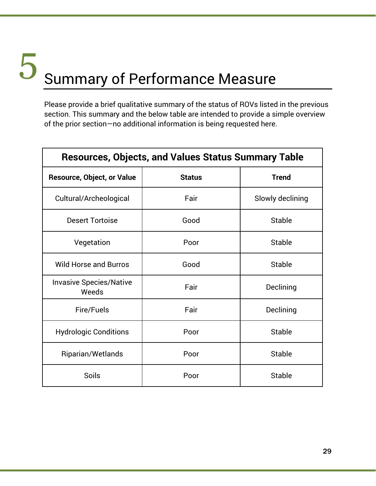### Summary of Performance Measure 5

Please provide a brief qualitative summary of the status of ROVs listed in the previous section. This summary and the below table are intended to provide a simple overview of the prior section—no additional information is being requested here.

| <b>Resources, Objects, and Values Status Summary Table</b> |               |                  |
|------------------------------------------------------------|---------------|------------------|
| <b>Resource, Object, or Value</b>                          | <b>Status</b> | <b>Trend</b>     |
| Cultural/Archeological                                     | Fair          | Slowly declining |
| <b>Desert Tortoise</b>                                     | Good          | <b>Stable</b>    |
| Vegetation                                                 | Poor          | <b>Stable</b>    |
| <b>Wild Horse and Burros</b>                               | Good          | <b>Stable</b>    |
| <b>Invasive Species/Native</b><br>Weeds                    | Fair          | Declining        |
| Fire/Fuels                                                 | Fair          | Declining        |
| <b>Hydrologic Conditions</b>                               | Poor          | <b>Stable</b>    |
| Riparian/Wetlands                                          | Poor          | <b>Stable</b>    |
| Soils                                                      | Poor          | <b>Stable</b>    |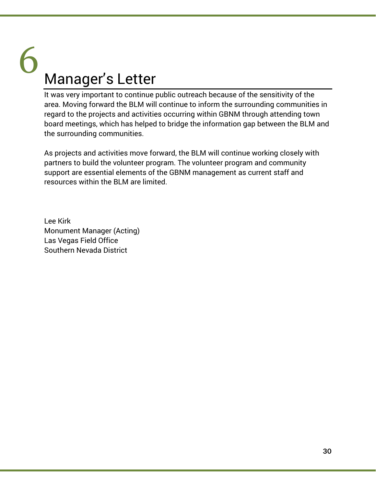## Manager's Letter 6

It was very important to continue public outreach because of the sensitivity of the area. Moving forward the BLM will continue to inform the surrounding communities in regard to the projects and activities occurring within GBNM through attending town board meetings, which has helped to bridge the information gap between the BLM and the surrounding communities.

As projects and activities move forward, the BLM will continue working closely with partners to build the volunteer program. The volunteer program and community support are essential elements of the GBNM management as current staff and resources within the BLM are limited.

Lee Kirk Monument Manager (Acting) Las Vegas Field Office Southern Nevada District